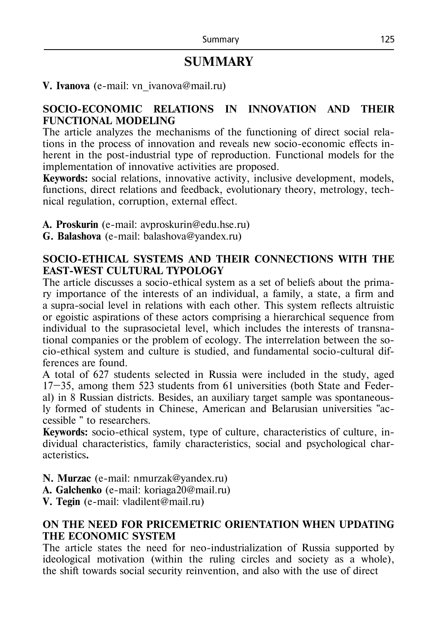# **SUMMARY**

## **V. Ivanova** (e-mail: vn ivanova@mail.ru)

## **SOCIO-ECONOMIC RELATIONS IN INNOVATION AND THEIR FUNCTIONAL MODELING**

The article analyzes the mechanisms of the functioning of direct social relations in the process of innovation and reveals new socio-economic effects inherent in the post-industrial type of reproduction. Functional models for the implementation of innovative activities are proposed.

**Keywords:** social relations, innovative activity, inclusive development, models, functions, direct relations and feedback, evolutionary theory, metrology, technical regulation, corruption, external effect.

- **А. Рroskurin** (e-mail: avproskurin@edu.hse.ru)
- **G. Balashova** (e-mail: balashova@yandex.ru)

### **SOCIO-ETHICAL SYSTEMS AND THEIR CONNECTIONS WITH THE EAST-WEST CULTURAL TYPOLOGY**

The article discusses a socio-ethical system as a set of beliefs about the primary importance of the interests of an individual, a family, a state, a firm and a supra-social level in relations with each other. This system reflects altruistic or egoistic aspirations of these actors comprising a hierarchical sequence from individual to the suprasocietal level, which includes the interests of transnational companies or the problem of ecology. The interrelation between the socio-ethical system and culture is studied, and fundamental socio-cultural differences are found.

A total of 627 students selected in Russia were included in the study, aged 17–35, among them 523 students from 61 universities (both State and Federal) in 8 Russian districts. Besides, an auxiliary target sample was spontaneously formed of students in Chinese, American and Belarusian universities "accessible " to researchers.

**Keywords:** socio-ethical system, type of culture, characteristics of culture, individual characteristics, family characteristics, social and psychological characteristics**.**

**N. Murzac** (e-mail: nmurzak@yandex.ru)

**A. Galchenko** (e-mail: koriaga20@mail.ru)

**V. Tegin** (e-mail: vladilent@mail.ru)

# **ON THE NEED FOR PRICEMETRIC ORIENTATION WHEN UPDATING THE ECONOMIC SYSTEM**

The article states the need for neo-industrialization of Russia supported by ideological motivation (within the ruling circles and society as a whole), the shift towards social security reinvention, and also with the use of direct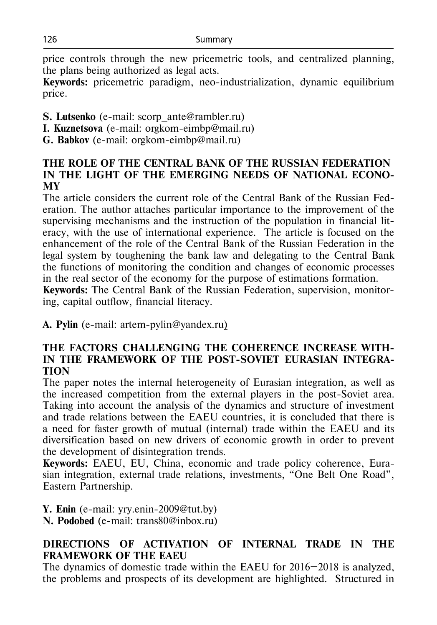price controls through the new pricemetric tools, and centralized planning, the plans being authorized as legal acts.

**Keywords:** pricemetric paradigm, neo-industrialization, dynamic equilibrium price.

- **S. Lutsenko** (e-mail: scorp\_ante@rambler.ru)
- **I. Kuznetsova** (e-mail: orgkom-eimbp@mail.ru)
- **G. Babkov** (e-mail: orgkom-eimbp@mail.ru)

## **THE ROLE OF THE CENTRAL BANK OF THE RUSSIAN FEDERATION IN THE LIGHT OF THE EMERGING NEEDS OF NATIONAL ECONO-MY**

The article considers the current role of the Central Bank of the Russian Federation. The author attaches particular importance to the improvement of the supervising mechanisms and the instruction of the population in financial literacy, with the use of international experience. The article is focused on the enhancement of the role of the Central Bank of the Russian Federation in the legal system by toughening the bank law and delegating to the Central Bank the functions of monitoring the condition and changes of economic processes in the real sector of the economy for the purpose of estimations formation.

**Keywords:** The Central Bank of the Russian Federation, supervision, monitoring, capital outflow, financial literacy.

**А. Pylin** (e-mail: artem-pylin@yandex.ru)

#### **THE FACTORS CHALLENGING THE COHERENCE INCREASE WITH-IN THE FRAMEWORK OF THE POST-SOVIET EURASIAN INTEGRA-TION**

The paper notes the internal heterogeneity of Eurasian integration, as well as the increased competition from the external players in the post-Soviet area. Taking into account the analysis of the dynamics and structure of investment and trade relations between the EAEU countries, it is concluded that there is a need for faster growth of mutual (internal) trade within the EAEU and its diversification based on new drivers of economic growth in order to prevent the development of disintegration trends.

**Keywords:** EAEU, EU, China, economic and trade policy coherence, Eurasian integration, external trade relations, investments, "One Belt One Road", Eastern Partnership.

**Y. Enin** (e-mail: yry.enin-2009@tut.by) **N. Podobed** (e-mail: trans80@inbox.ru)

# **DIRECTIONS OF ACTIVATION OF INTERNAL TRADE IN THE FRAMEWORK OF THE EAEU**

The dynamics of domestic trade within the EAEU for 2016–2018 is analyzed, the problems and prospects of its development are highlighted. Structured in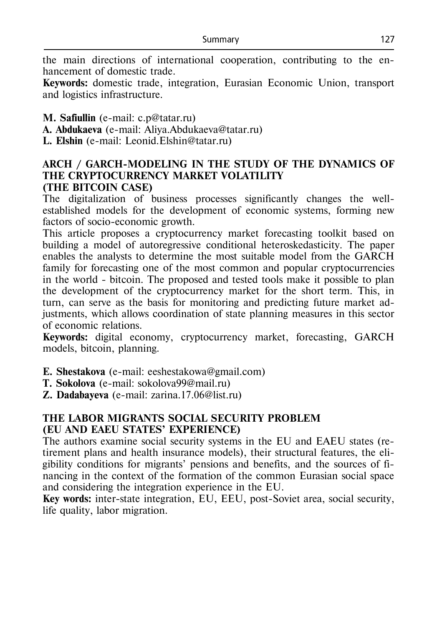the main directions of international cooperation, contributing to the enhancement of domestic trade.

**Keywords:** domestic trade, integration, Eurasian Economic Union, transport and logistics infrastructure.

**M. Safiullin** (e-mail: c.p@tatar.ru)

**А. Abdukaeva** (e-mail: Aliya.Abdukaeva@tatar.ru)

**L. Elshin** (e-mail: Leonid.Elshin@tatar.ru)

# **ARCH / GARCH-MODELING IN THE STUDY OF THE DYNAMICS OF THE CRYPTOCURRENCY MARKET VOLATILITY (THE BITCOIN CASE)**

The digitalization of business processes significantly changes the wellestablished models for the development of economic systems, forming new factors of socio-economic growth.

This article proposes a cryptocurrency market forecasting toolkit based on building a model of autoregressive conditional heteroskedasticity. The paper enables the analysts to determine the most suitable model from the GARCH family for forecasting one of the most common and popular cryptocurrencies in the world - bitcoin. The proposed and tested tools make it possible to plan the development of the cryptocurrency market for the short term. This, in turn, can serve as the basis for monitoring and predicting future market adjustments, which allows coordination of state planning measures in this sector of economic relations.

**Keywords:** digital economy, cryptocurrency market, forecasting, GARCH models, bitcoin, planning.

**E. Shestakova** (e-mail: eeshestakowa@gmail.com)

**T. Sokolova** (e-mail: sokolova99@mail.ru)

**Z. Dadabayeva** (e-mail: zarina.17.06@list.ru)

# **THE LABOR MIGRANTS SOCIAL SECURITY PROBLEM (EU AND EAEU STATES' EXPERIENCE)**

The authors examine social security systems in the EU and EAEU states (retirement plans and health insurance models), their structural features, the eligibility conditions for migrants' pensions and benefits, and the sources of financing in the context of the formation of the common Eurasian social space and considering the integration experience in the EU.

**Key words:** inter-state integration, EU, EEU, post-Soviet area, social security, life quality, labor migration.